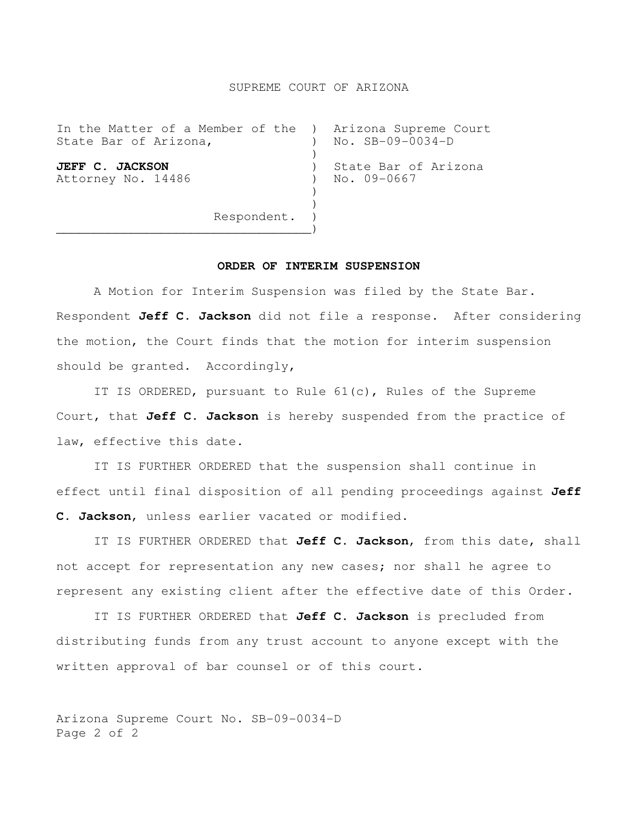## SUPREME COURT OF ARIZONA

| State Bar of Arizona,                                       |  | In the Matter of a Member of the ) Arizona Supreme Court<br>$No.$ $SB-09-0034-D$ |
|-------------------------------------------------------------|--|----------------------------------------------------------------------------------|
| <b>JEFF C. JACKSON</b><br>Attorney No. 14486<br>Respondent. |  | State Bar of Arizona<br>No. 09-0667                                              |
|                                                             |  |                                                                                  |

## **ORDER OF INTERIM SUSPENSION**

 A Motion for Interim Suspension was filed by the State Bar. Respondent **Jeff C. Jackson** did not file a response. After considering the motion, the Court finds that the motion for interim suspension should be granted. Accordingly,

 IT IS ORDERED, pursuant to Rule 61(c), Rules of the Supreme Court, that **Jeff C. Jackson** is hereby suspended from the practice of law, effective this date.

 IT IS FURTHER ORDERED that the suspension shall continue in effect until final disposition of all pending proceedings against **Jeff C. Jackson**, unless earlier vacated or modified.

 IT IS FURTHER ORDERED that **Jeff C. Jackson**, from this date, shall not accept for representation any new cases; nor shall he agree to represent any existing client after the effective date of this Order.

 IT IS FURTHER ORDERED that **Jeff C. Jackson** is precluded from distributing funds from any trust account to anyone except with the written approval of bar counsel or of this court.

Arizona Supreme Court No. SB-09-0034-D Page 2 of 2